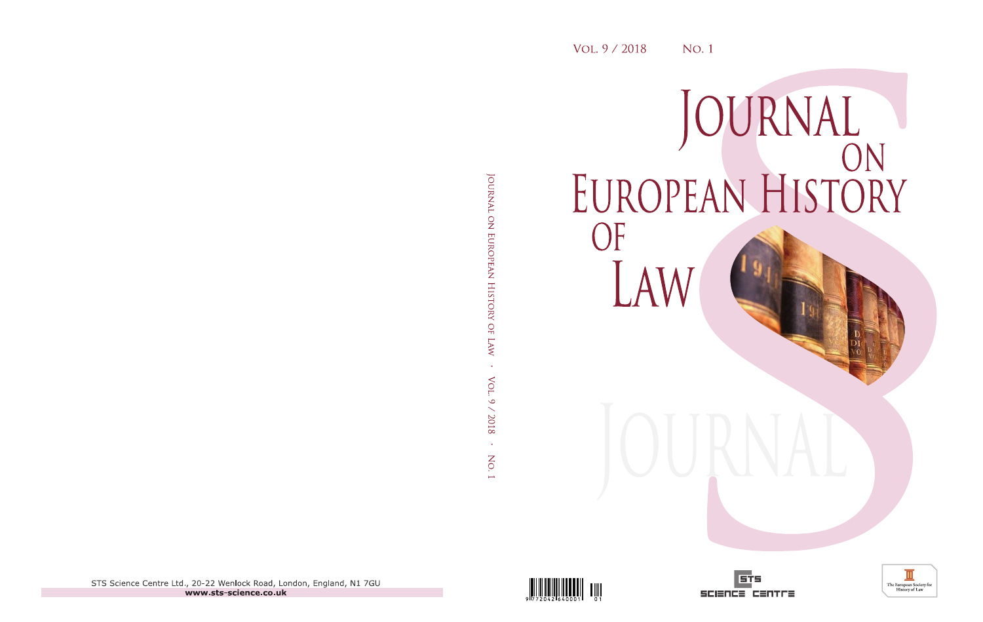# JOURNAL<br>EUROPEAN HISTORY OF LAW